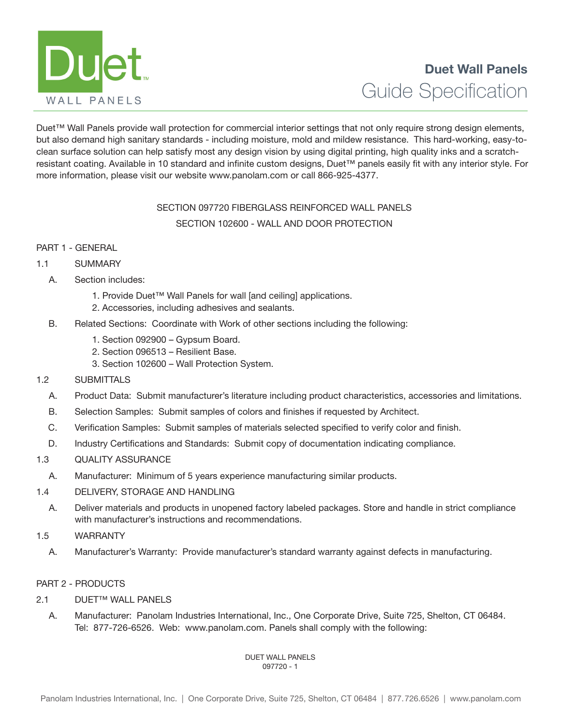

Duet™ Wall Panels provide wall protection for commercial interior settings that not only require strong design elements, but also demand high sanitary standards - including moisture, mold and mildew resistance. This hard-working, easy-toclean surface solution can help satisfy most any design vision by using digital printing, high quality inks and a scratchresistant coating. Available in 10 standard and infinite custom designs, Duet™ panels easily fit with any interior style. For more information, please visit our website www.panolam.com or call 866-925-4377.

# SECTION 097720 FIBERGLASS REINFORCED WALL PANELS SECTION 102600 - WALL AND DOOR PROTECTION

# PART 1 - GENERAL

# 1.1 SUMMARY

- A. Section includes:
	- 1. Provide Duet™ Wall Panels for wall [and ceiling] applications.
	- 2. Accessories, including adhesives and sealants.
- B. Related Sections: Coordinate with Work of other sections including the following:
	- 1. Section 092900 Gypsum Board.
	- 2. Section 096513 Resilient Base.
	- 3. Section 102600 Wall Protection System.

# 1.2 SUBMITTALS

- A. Product Data: Submit manufacturer's literature including product characteristics, accessories and limitations.
- B. Selection Samples: Submit samples of colors and finishes if requested by Architect.
- C. Verification Samples: Submit samples of materials selected specified to verify color and finish.
- D. Industry Certifications and Standards: Submit copy of documentation indicating compliance.

# 1.3 QUALITY ASSURANCE

- A. Manufacturer: Minimum of 5 years experience manufacturing similar products.
- 1.4 DELIVERY, STORAGE AND HANDLING
	- A. Deliver materials and products in unopened factory labeled packages. Store and handle in strict compliance with manufacturer's instructions and recommendations.

# 1.5 WARRANTY

A. Manufacturer's Warranty: Provide manufacturer's standard warranty against defects in manufacturing.

# PART 2 - PRODUCTS

- 2.1 DUET™ WALL PANELS
	- A. Manufacturer: Panolam Industries International, Inc., One Corporate Drive, Suite 725, Shelton, CT 06484. Tel: 877-726-6526. Web: www.panolam.com. Panels shall comply with the following:

#### DUET WALL PANELS 097720 - 1